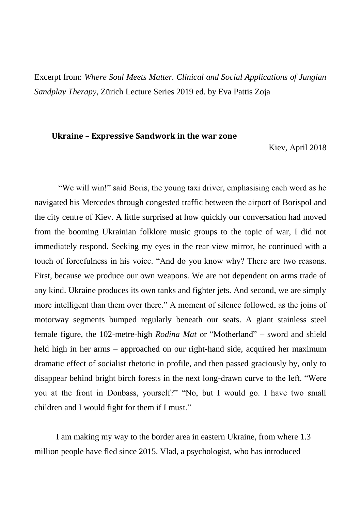Excerpt from: *Where Soul Meets Matter. Clinical and Social Applications of Jungian Sandplay Therapy*, Zürich Lecture Series 2019 ed. by Eva Pattis Zoja

## **Ukraine – Expressive Sandwork in the war zone**

Kiev, April 2018

"We will win!" said Boris, the young taxi driver, emphasising each word as he navigated his Mercedes through congested traffic between the airport of Borispol and the city centre of Kiev. A little surprised at how quickly our conversation had moved from the booming Ukrainian folklore music groups to the topic of war, I did not immediately respond. Seeking my eyes in the rear-view mirror, he continued with a touch of forcefulness in his voice. "And do you know why? There are two reasons. First, because we produce our own weapons. We are not dependent on arms trade of any kind. Ukraine produces its own tanks and fighter jets. And second, we are simply more intelligent than them over there." A moment of silence followed, as the joins of motorway segments bumped regularly beneath our seats. A giant stainless steel female figure, the 102-metre-high *Rodina Mat* or "Motherland" – sword and shield held high in her arms – approached on our right-hand side, acquired her maximum dramatic effect of socialist rhetoric in profile, and then passed graciously by, only to disappear behind bright birch forests in the next long-drawn curve to the left. "Were you at the front in Donbass, yourself?" "No, but I would go. I have two small children and I would fight for them if I must."

I am making my way to the border area in eastern Ukraine, from where 1.3 million people have fled since 2015. Vlad, a psychologist, who has introduced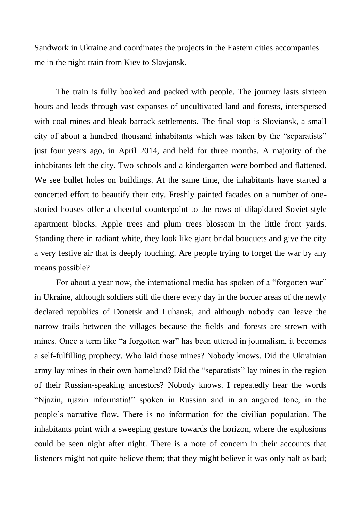Sandwork in Ukraine and coordinates the projects in the Eastern cities accompanies me in the night train from Kiev to Slavjansk.

The train is fully booked and packed with people. The journey lasts sixteen hours and leads through vast expanses of uncultivated land and forests, interspersed with coal mines and bleak barrack settlements. The final stop is Sloviansk, a small city of about a hundred thousand inhabitants which was taken by the "separatists" just four years ago, in April 2014, and held for three months. A majority of the inhabitants left the city. Two schools and a kindergarten were bombed and flattened. We see bullet holes on buildings. At the same time, the inhabitants have started a concerted effort to beautify their city. Freshly painted facades on a number of onestoried houses offer a cheerful counterpoint to the rows of dilapidated Soviet-style apartment blocks. Apple trees and plum trees blossom in the little front yards. Standing there in radiant white, they look like giant bridal bouquets and give the city a very festive air that is deeply touching. Are people trying to forget the war by any means possible?

For about a year now, the international media has spoken of a "forgotten war" in Ukraine, although soldiers still die there every day in the border areas of the newly declared republics of Donetsk and Luhansk, and although nobody can leave the narrow trails between the villages because the fields and forests are strewn with mines. Once a term like "a forgotten war" has been uttered in journalism, it becomes a self-fulfilling prophecy. Who laid those mines? Nobody knows. Did the Ukrainian army lay mines in their own homeland? Did the "separatists" lay mines in the region of their Russian-speaking ancestors? Nobody knows. I repeatedly hear the words "Njazin, njazin informatia!" spoken in Russian and in an angered tone, in the people's narrative flow. There is no information for the civilian population. The inhabitants point with a sweeping gesture towards the horizon, where the explosions could be seen night after night. There is a note of concern in their accounts that listeners might not quite believe them; that they might believe it was only half as bad;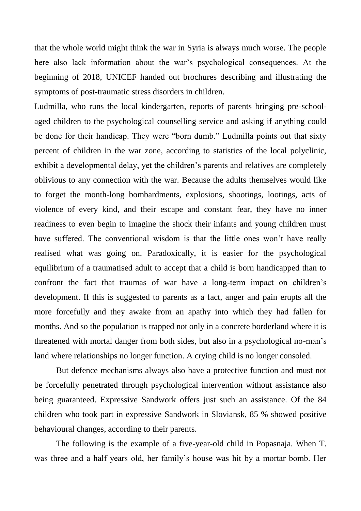that the whole world might think the war in Syria is always much worse. The people here also lack information about the war's psychological consequences. At the beginning of 2018, UNICEF handed out brochures describing and illustrating the symptoms of post-traumatic stress disorders in children.

Ludmilla, who runs the local kindergarten, reports of parents bringing pre-schoolaged children to the psychological counselling service and asking if anything could be done for their handicap. They were "born dumb." Ludmilla points out that sixty percent of children in the war zone, according to statistics of the local polyclinic, exhibit a developmental delay, yet the children's parents and relatives are completely oblivious to any connection with the war. Because the adults themselves would like to forget the month-long bombardments, explosions, shootings, lootings, acts of violence of every kind, and their escape and constant fear, they have no inner readiness to even begin to imagine the shock their infants and young children must have suffered. The conventional wisdom is that the little ones won't have really realised what was going on. Paradoxically, it is easier for the psychological equilibrium of a traumatised adult to accept that a child is born handicapped than to confront the fact that traumas of war have a long-term impact on children's development. If this is suggested to parents as a fact, anger and pain erupts all the more forcefully and they awake from an apathy into which they had fallen for months. And so the population is trapped not only in a concrete borderland where it is threatened with mortal danger from both sides, but also in a psychological no-man's land where relationships no longer function. A crying child is no longer consoled.

But defence mechanisms always also have a protective function and must not be forcefully penetrated through psychological intervention without assistance also being guaranteed. Expressive Sandwork offers just such an assistance. Of the 84 children who took part in expressive Sandwork in Sloviansk, 85 % showed positive behavioural changes, according to their parents.

The following is the example of a five-year-old child in Popasnaja. When T. was three and a half years old, her family's house was hit by a mortar bomb. Her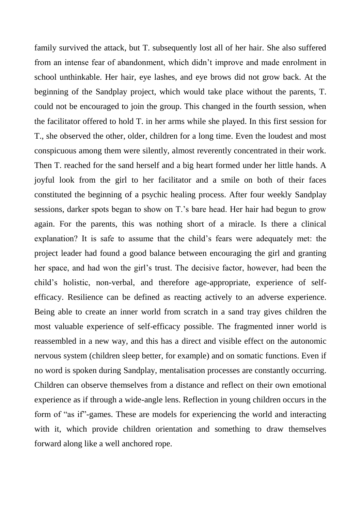family survived the attack, but T. subsequently lost all of her hair. She also suffered from an intense fear of abandonment, which didn't improve and made enrolment in school unthinkable. Her hair, eye lashes, and eye brows did not grow back. At the beginning of the Sandplay project, which would take place without the parents, T. could not be encouraged to join the group. This changed in the fourth session, when the facilitator offered to hold T. in her arms while she played. In this first session for T., she observed the other, older, children for a long time. Even the loudest and most conspicuous among them were silently, almost reverently concentrated in their work. Then T. reached for the sand herself and a big heart formed under her little hands. A joyful look from the girl to her facilitator and a smile on both of their faces constituted the beginning of a psychic healing process. After four weekly Sandplay sessions, darker spots began to show on T.'s bare head. Her hair had begun to grow again. For the parents, this was nothing short of a miracle. Is there a clinical explanation? It is safe to assume that the child's fears were adequately met: the project leader had found a good balance between encouraging the girl and granting her space, and had won the girl's trust. The decisive factor, however, had been the child's holistic, non-verbal, and therefore age-appropriate, experience of selfefficacy. Resilience can be defined as reacting actively to an adverse experience. Being able to create an inner world from scratch in a sand tray gives children the most valuable experience of self-efficacy possible. The fragmented inner world is reassembled in a new way, and this has a direct and visible effect on the autonomic nervous system (children sleep better, for example) and on somatic functions. Even if no word is spoken during Sandplay, mentalisation processes are constantly occurring. Children can observe themselves from a distance and reflect on their own emotional experience as if through a wide-angle lens. Reflection in young children occurs in the form of "as if"-games. These are models for experiencing the world and interacting with it, which provide children orientation and something to draw themselves forward along like a well anchored rope.